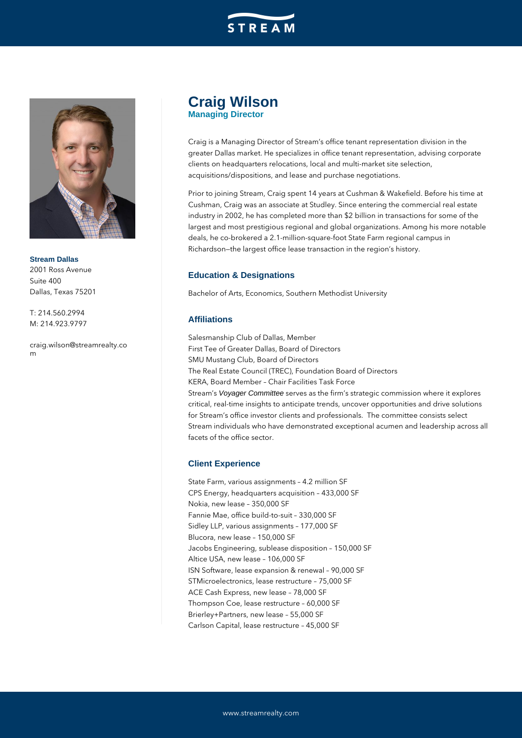



**Stream Dallas** 2001 Ross Avenue Suite 400 Dallas, Texas 75201

T: 214.560.2994 M: 214.923.9797

craig.wilson@streamrealty.co m

# **Craig Wilson Managing Director**

Craig is a Managing Director of Stream's office tenant representation division in the greater Dallas market. He specializes in office tenant representation, advising corporate clients on headquarters relocations, local and multi-market site selection, acquisitions/dispositions, and lease and purchase negotiations.

Prior to joining Stream, Craig spent 14 years at Cushman & Wakefield. Before his time at Cushman, Craig was an associate at Studley. Since entering the commercial real estate industry in 2002, he has completed more than \$2 billion in transactions for some of the largest and most prestigious regional and global organizations. Among his more notable deals, he co-brokered a 2.1-million-square-foot State Farm regional campus in Richardson—the largest office lease transaction in the region's history.

## **Education & Designations**

Bachelor of Arts, Economics, Southern Methodist University

### **Affiliations**

Salesmanship Club of Dallas, Member First Tee of Greater Dallas, Board of Directors SMU Mustang Club, Board of Directors The Real Estate Council (TREC), Foundation Board of Directors KERA, Board Member – Chair Facilities Task Force Stream's Voyager Committee serves as the firm's strategic commission where it explores critical, real-time insights to anticipate trends, uncover opportunities and drive solutions for Stream's office investor clients and professionals. The committee consists select Stream individuals who have demonstrated exceptional acumen and leadership across all facets of the office sector.

### **Client Experience**

State Farm, various assignments – 4.2 million SF CPS Energy, headquarters acquisition – 433,000 SF Nokia, new lease – 350,000 SF Fannie Mae, office build-to-suit – 330,000 SF Sidley LLP, various assignments – 177,000 SF Blucora, new lease – 150,000 SF Jacobs Engineering, sublease disposition – 150,000 SF Altice USA, new lease – 106,000 SF ISN Software, lease expansion & renewal – 90,000 SF STMicroelectronics, lease restructure – 75,000 SF ACE Cash Express, new lease – 78,000 SF Thompson Coe, lease restructure – 60,000 SF Brierley+Partners, new lease – 55,000 SF Carlson Capital, lease restructure – 45,000 SF